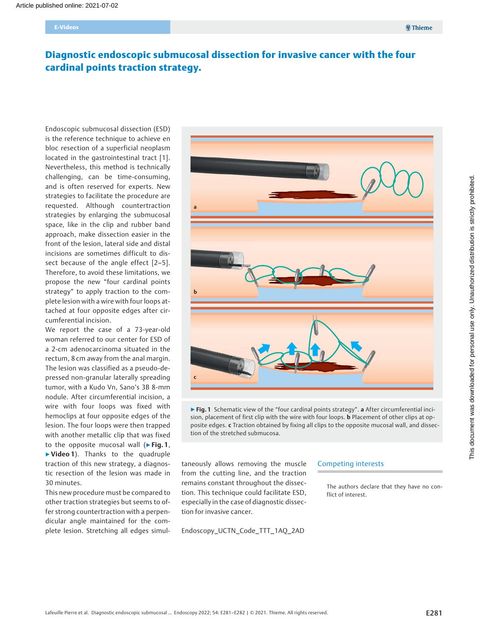# Diagnostic endoscopic submucosal dissection for invasive cancer with the four cardinal points traction strategy.

Endoscopic submucosal dissection (ESD) is the reference technique to achieve en bloc resection of a superficial neoplasm located in the gastrointestinal tract [1]. Nevertheless, this method is technically challenging, can be time-consuming, and is often reserved for experts. New strategies to facilitate the procedure are requested. Although countertraction strategies by enlarging the submucosal space, like in the clip and rubber band approach, make dissection easier in the front of the lesion, lateral side and distal incisions are sometimes difficult to dissect because of the angle effect [2-5]. Therefore, to avoid these limitations, we propose the new "four cardinal points strategy" to apply traction to the complete lesion with a wire with four loops attached at four opposite edges after circumferential incision.

We report the case of a 73-year-old woman referred to our center for ESD of a 2-cm adenocarcinoma situated in the rectum, 8 cm away from the anal margin. The lesion was classified as a pseudo-depressed non-granular laterally spreading tumor, with a Kudo Vn, Sano's 3B 8-mm nodule. After circumferential incision, a wire with four loops was fixed with hemoclips at four opposite edges of the lesion. The four loops were then trapped with another metallic clip that was fixed to the opposite mucosal wall ( $\blacktriangleright$  Fig. 1, ▶Video 1). Thanks to the quadruple traction of this new strategy, a diagnostic resection of the lesion was made in 30 minutes.

This new procedure must be compared to other traction strategies but seems to offer strong countertraction with a perpendicular angle maintained for the complete lesion. Stretching all edges simul-



▶ Fig. 1 Schematic view of the "four cardinal points strategy". a After circumferential incision, placement of first clip with the wire with four loops. **b** Placement of other clips at opposite edges. c Traction obtained by fixing all clips to the opposite mucosal wall, and dissection of the stretched submucosa.

taneously allows removing the muscle from the cutting line, and the traction remains constant throughout the dissection. This technique could facilitate ESD, especially in the case of diagnostic dissection for invasive cancer.

Endoscopy\_UCTN\_Code\_TTT\_1AQ\_2AD

#### Competing interests

The authors declare that they have no conflict of interest.

**<sup>第</sup>Thieme**